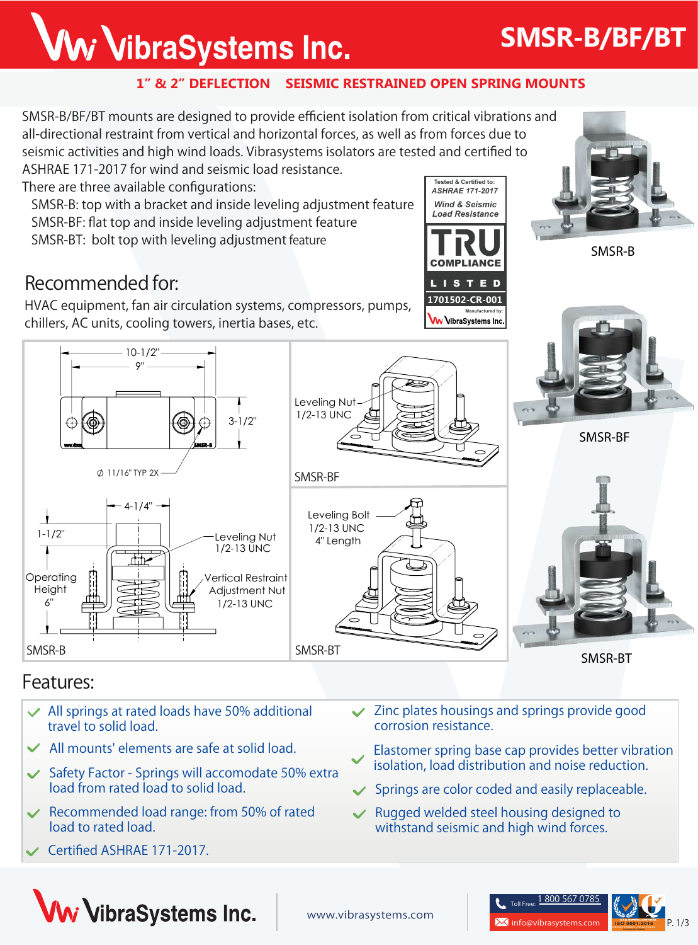## Ww VibraSystems Inc.

## **SMSR-B/BF/BT**

#### **1" & 2" DEFLECTION SEISMIC RESTRAINED OPEN SPRING MOUNTS**

**SMSR-B/BF/BT mounts** are designed to provide efficient isolation from critical vibrations and all-directional restraint from vertical and horizontal forces, as well as from forces due to seismic activities and high wind loads. Vibrasystems isolators are tested and certified to

ASHRAE 171-2017 for wind and seismic load resistance. There are three available configurations:

> $-10-1/2"$ 9"

 $\emptyset$  11/16" TYP 2X

4-1/4"

rt th

 **SMSR-B**: top with a bracket and inside leveling adjustment feature **SMSR-BF**: flat top and inside leveling adjustment feature **SMSR-BT**: bolt top with leveling adjustment feature

## **Recommended for:**

HVAC equipment, fan air circulation systems, compressors, pumps, chillers, AC units, cooling towers, inertia bases, etc.

*Wind & Seismic Load Resistance* **Tested & Certified to:** *ASHRAE 171-2017*





**SMSR-B**





### **Features:**

**Operating Height** 6"

1-1/2"

- **All springs at rated loads have 50% additional travel to solid load.**
- **All mounts' elements are safe at solid load.**
- **Safety Factor Springs will accomodate 50% extra load from rated load to solid load.**
- **Recommended load range: from 50% of rated load to rated load.**
- **Certified ASHRAE 171-2017.**
- **Zinc plates housings and springs provide good corrosion resistance.**
- **Elastomer spring base cap provides better vibration isolation, load distribution and noise reduction.**
- **Springs are color coded and easily replaceable.**
- **Rugged welded steel housing designed to withstand seismic and high wind forces.**



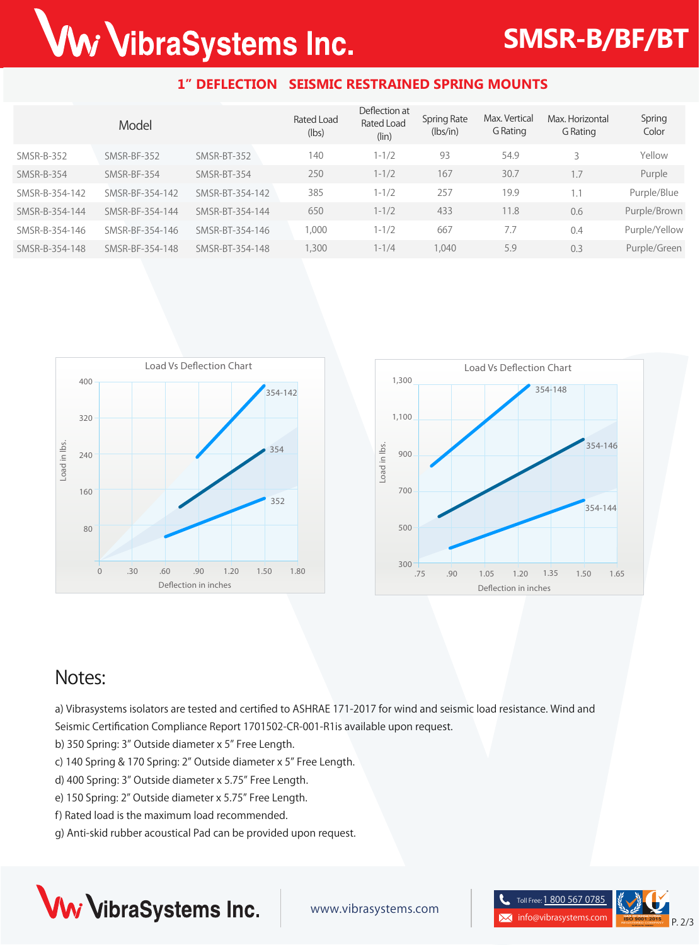# Ww VibraSystems Inc.

## **SMSR-B/BF/BT**

#### **1" DEFLECTION SEISMIC RESTRAINED SPRING MOUNTS**

|                | Model           |                 | Rated Load<br>(lbs) | Deflection at<br>Rated Load<br>(lin) | <b>Spring Rate</b><br>(lbs/in) | Max. Vertical<br>G Rating | Max. Horizontal<br>G Rating | Spring<br>Color |
|----------------|-----------------|-----------------|---------------------|--------------------------------------|--------------------------------|---------------------------|-----------------------------|-----------------|
| SMSR-B-352     | SMSR-BF-352     | SMSR-BT-352     | 140                 | $1 - 1/2$                            | 93                             | 54.9                      |                             | Yellow          |
| SMSR-B-354     | SMSR-BF-354     | SMSR-BT-354     | 250                 | $1 - 1/2$                            | 167                            | 30.7                      | 1.7                         | Purple          |
| SMSR-B-354-142 | SMSR-BF-354-142 | SMSR-BT-354-142 | 385                 | $1 - 1/2$                            | 257                            | 19.9                      | 1.1                         | Purple/Blue     |
| SMSR-B-354-144 | SMSR-BF-354-144 | SMSR-BT-354-144 | 650                 | $1 - 1/2$                            | 433                            | 11.8                      | 0.6                         | Purple/Brown    |
| SMSR-B-354-146 | SMSR-BF-354-146 | SMSR-BT-354-146 | 000,                | $1 - 1/2$                            | 667                            | 7.7                       | 0.4                         | Purple/Yellow   |
| SMSR-B-354-148 | SMSR-BF-354-148 | SMSR-BT-354-148 | 1,300               | $1 - 1/4$                            | 1,040                          | 5.9                       | 0.3                         | Purple/Green    |





### **Notes:**

a) Vibrasystems isolators are tested and certified to ASHRAE 171-2017 for wind and seismic load resistance. Wind and Seismic Certification Compliance Report 1701502-CR-001-R1is available upon request.

- b) 350 Spring: 3" Outside diameter x 5" Free Length.
- c) 140 Spring & 170 Spring: 2" Outside diameter x 5" Free Length.
- d) 400 Spring: 3" Outside diameter x 5.75" Free Length.
- e) 150 Spring: 2" Outside diameter x 5.75" Free Length.
- f) Rated load is the maximum load recommended.
- g) Anti-skid rubber acoustical Pad can be provided upon request.



www.vibrasystems.com